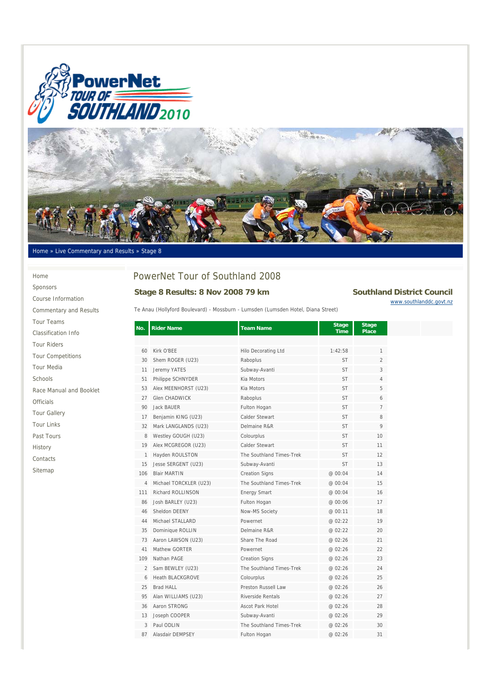



#### Home » Live Commentary and Results » Stage 8

#### Home

Sponsors Course Information Commentary and Results Tour Teams Classification Info Tour Riders Tour Competitions Tour Media Schools Race Manual and Booklet **Officials** 

Tour Gallery

Tour Links

Past Tours

History

Contacts

Sitemap

# PowerNet Tour of Southland 2008

## **Stage 8 Results: 8 Nov 2008 79 km** Southland District Council

Te Anau (Hollyford Boulevard) - Mossburn - Lumsden (Lumsden Hotel, Diana Street)

www.southlanddc.govt.nz

**No.** Rider Name **No.** Team Name **Time Stage Place**  60 Kirk O'BEE Hilo Decorating Ltd 1:42:58 1 30 Shem ROGER (U23) Raboplus ST 2 11 Jeremy YATES Subway-Avanti ST ST 3 51 Philippe SCHNYDER Kia Motors ST 57 4 53 Alex MEENHORST (U23) Kia Motors ST ST 5 27 Glen CHADWICK Raboplus ST 6 90 Jack BAUER **Fulton Hogan** Fulton Hogan ST 17 Benjamin KING (U23) Calder Stewart ST ST 8 32 Mark LANGLANDS (U23) Delmaine R&R ST 9 8 Westley GOUGH (U23) Colourplus Colour Colour Colour Colour Colour Colour Colour Colour Colour Colour Colour Colour Colour Colour Colour Colour Colour Colour Colour Colour Colour Colour Colour Colour Colour Colour Colour 19 Alex MCGREGOR (U23) Calder Stewart ST ST 11 1 Hayden ROULSTON The Southland Times-Trek ST 5T 12 15 Jesse SERGENT (U23) Subway-Avanti ST ST 13 106 Blair MARTIN Creation Signs @ 00:04 14 4 Michael TORCKLER (U23) The Southland Times-Trek @ 00:04 15 111 Richard ROLLINSON Energy Smart @ 00:04 16 86 Josh BARLEY (U23) Fulton Hogan @ 00:06 17 46 Sheldon DEENY Now-MS Society @ 00:11 18 44 Michael STALLARD Powernet @ 02:22 19 35 Dominique ROLLIN Delmaine R&R @ 02:22 20 73 Aaron LAWSON (U23) Share The Road @ 02:26 21 41 Mathew GORTER Powernet @ 02:26 22 109 Nathan PAGE Creation Signs @ 02:26 23 2 Sam BEWLEY (U23) The Southland Times-Trek @ 02:26 24 6 Heath BLACKGROVE Colourplus @ 02:26 25 25 Brad HALL Preston Russell Law 26 95 Alan WILLIAMS (U23) Riverside Rentals @ 02:26 27 36 Aaron STRONG Ascot Park Hotel @ 02:26 28 13 Joseph COOPER Subway-Avanti @ 02:26 29 3 Paul ODLIN The Southland Times-Trek @ 02:26 30 87 Alasdair DEMPSEY Fulton Hogan @ 02:26 31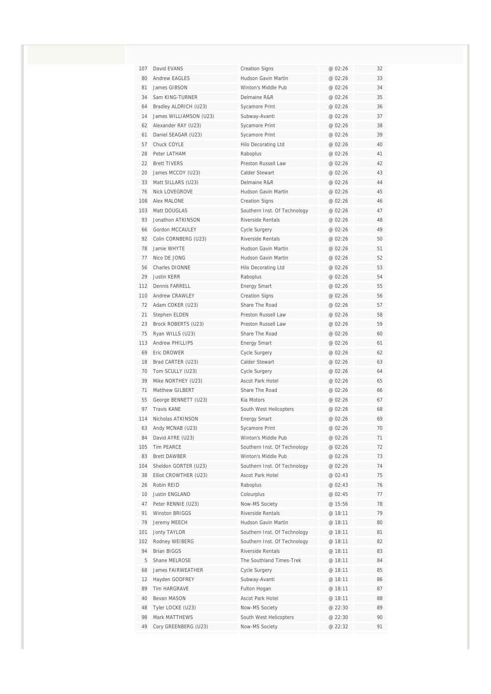| 107 | David EVANS            | <b>Creation Signs</b>        | @ 02:26 | 32 |
|-----|------------------------|------------------------------|---------|----|
| 80  | <b>Andrew EAGLES</b>   | Hudson Gavin Martin          | @ 02:26 | 33 |
| 81  | James GIBSON           | Winton's Middle Pub          | @ 02:26 | 34 |
| 34  | Sam KING-TURNER        | Delmaine R&R                 | @ 02:26 | 35 |
| 64  | Bradley ALDRICH (U23)  | Sycamore Print               | @ 02:26 | 36 |
| 14  | James WILLIAMSON (U23) | Subway-Avanti                | @ 02:26 | 37 |
| 62  | Alexander RAY (U23)    | Sycamore Print               | @ 02:26 | 38 |
| 61  | Daniel SEAGAR (U23)    | Sycamore Print               | @ 02:26 | 39 |
| 57  | Chuck COYLE            | Hilo Decorating Ltd          | @ 02:26 | 40 |
| 28  | Peter LATHAM           | Raboplus                     | @ 02:26 | 41 |
| 22  | <b>Brett TIVERS</b>    | Preston Russell Law          | @ 02:26 | 42 |
| 20  | James MCCOY (U23)      | Calder Stewart               | @ 02:26 | 43 |
| 33  | Matt SILLARS (U23)     | Delmaine R&R                 | @ 02:26 | 44 |
| 76  | Nick LOVEGROVE         | Hudson Gavin Martin          | @ 02:26 | 45 |
| 108 | Alex MALONE            | <b>Creation Signs</b>        | @ 02:26 | 46 |
| 103 | Matt DOUGLAS           | Southern Inst. Of Technology | @ 02:26 | 47 |
| 93  | Jonathon ATKINSON      | <b>Riverside Rentals</b>     | @ 02:26 | 48 |
| 66  | Gordon MCCAULEY        | Cycle Surgery                | @ 02:26 | 49 |
| 92  | Colin CORNBERG (U23)   | Riverside Rentals            | @ 02:26 | 50 |
| 78  | Jamie WHYTE            | Hudson Gavin Martin          | @ 02:26 | 51 |
| 77  | Nico DE JONG           | Hudson Gavin Martin          | @ 02:26 | 52 |
| 56  | Charles DIONNE         | Hilo Decorating Ltd          | @ 02:26 | 53 |
| 29  | Justin KERR            | Raboplus                     | @ 02:26 | 54 |
| 112 | Dennis FARRELL         | <b>Energy Smart</b>          | @ 02:26 | 55 |
| 110 | Andrew CRAWLEY         | <b>Creation Signs</b>        | @ 02:26 | 56 |
| 72  | Adam COKER (U23)       | Share The Road               | @ 02:26 | 57 |
| 21  | Stephen ELDEN          | Preston Russell Law          | @ 02:26 | 58 |
| 23  | Brock ROBERTS (U23)    | Preston Russell Law          | @ 02:26 | 59 |
| 75  | Ryan WILLS (U23)       | Share The Road               | @ 02:26 | 60 |
| 113 | Andrew PHILLIPS        | <b>Energy Smart</b>          | @ 02:26 | 61 |
| 69  | Eric DROWER            | Cycle Surgery                | @ 02:26 | 62 |
| 18  | Brad CARTER (U23)      | Calder Stewart               | @ 02:26 | 63 |
| 70  | Tom SCULLY (U23)       | Cycle Surgery                | @ 02:26 | 64 |
| 39  | Mike NORTHEY (U23)     | Ascot Park Hotel             | @ 02:26 | 65 |
| 71  | Matthew GILBERT        | Share The Road               | @ 02:26 | 66 |
| 55  | George BENNETT (U23)   | Kia Motors                   | @ 02:26 | 67 |
| 97  | <b>Travis KANE</b>     | South West Helicopters       | @ 02:26 | 68 |
| 114 | Nicholas ATKINSON      | <b>Energy Smart</b>          | @ 02:26 | 69 |
| 63  | Andy MCNAB (U23)       | Sycamore Print               | @ 02:26 | 70 |
| 84  | David AYRE (U23)       | Winton's Middle Pub          | @ 02:26 | 71 |
| 105 | <b>Tim PEARCE</b>      | Southern Inst. Of Technology | @ 02:26 | 72 |
| 83  | <b>Brett DAWBER</b>    | Winton's Middle Pub          | @ 02:26 | 73 |
| 104 | Sheldon GORTER (U23)   | Southern Inst. Of Technology | @ 02:26 | 74 |
| 38  | Elliot CROWTHER (U23)  | Ascot Park Hotel             | @ 02:43 | 75 |
| 26  | Robin REID             | Raboplus                     | @ 02:43 | 76 |
| 10  | Justin ENGLAND         | Colourplus                   | @ 02:45 | 77 |
| 47  | Peter RENNIE (U23)     | Now-MS Society               | @ 15:56 | 78 |
| 91  | Winston BRIGGS         | Riverside Rentals            | @ 18:11 | 79 |
| 79  | Jeremy MEECH           | Hudson Gavin Martin          | @ 18:11 | 80 |
| 101 | Jonty TAYLOR           | Southern Inst. Of Technology | @ 18:11 | 81 |
| 102 | Rodney WEIBERG         | Southern Inst. Of Technology | @ 18:11 | 82 |
| 94  | <b>Brian BIGGS</b>     | Riverside Rentals            | @ 18:11 | 83 |
| 5   | Shane MELROSE          | The Southland Times-Trek     | @ 18:11 | 84 |
| 68  | James FAIRWEATHER      | Cycle Surgery                | @ 18:11 | 85 |
| 12  | Hayden GODFREY         | Subway-Avanti                | @ 18:11 | 86 |
| 89  | Tim HARGRAVE           | Fulton Hogan                 | @ 18:11 | 87 |
| 40  | Bevan MASON            | Ascot Park Hotel             | @ 18:11 | 88 |
| 48  | Tyler LOCKE (U23)      | Now-MS Society               | @ 22:30 | 89 |
| 98  | Mark MATTHEWS          | South West Helicopters       | @ 22:30 | 90 |
| 49  | Cory GREENBERG (U23)   | Now-MS Society               | @ 22:32 | 91 |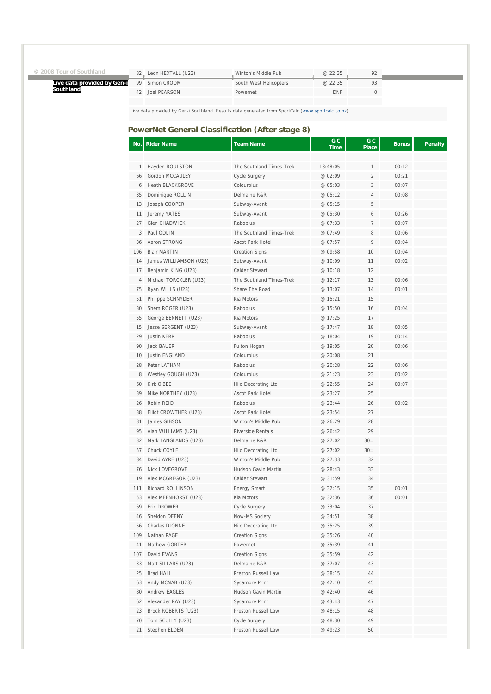| © 2008 Tour of Southland. |  |  |  |
|---------------------------|--|--|--|
|---------------------------|--|--|--|

**Southland**

**Live data provided by Gen-i** 

| Simon CROOM<br>South West Helicopters<br>@22:35<br>QQ<br><b>DNF</b><br>Joel PEARSON<br>42<br>Powernet | 82 | Leon HEXTALL (U23) | Winton's Middle Pub | @22:35 |  |
|-------------------------------------------------------------------------------------------------------|----|--------------------|---------------------|--------|--|
|                                                                                                       |    |                    |                     |        |  |
|                                                                                                       |    |                    |                     |        |  |

Live data provided by Gen-i Southland. Results data generated from SportCalc (www.sportcalc.co.nz)

### **PowerNet General Classification (After stage 8)**

| Hayden ROULSTON<br>The Southland Times-Trek<br>18:48:05<br>00:12<br>1<br>1<br>$\overline{2}$<br>Gordon MCCAULEY<br><b>Cycle Surgery</b><br>@ 02:09<br>00:21<br>66<br><b>Heath BLACKGROVE</b><br>3<br>Colourplus<br>@ 05:03<br>00:07<br>6<br>35<br>Dominique ROLLIN<br>Delmaine R&R<br>@ 05:12<br>4<br>00:08<br>5<br>Joseph COOPER<br>Subway-Avanti<br>@ 05:15<br>13<br>00:26<br>11<br>Jeremy YATES<br>Subway-Avanti<br>@ 05:30<br>6<br>27<br>Glen CHADWICK<br>Raboplus<br>@ 07:33<br>7<br>00:07<br>8<br>3<br>Paul ODLIN<br>The Southland Times-Trek<br>@ 07:49<br>00:06<br>Aaron STRONG<br>9<br>00:04<br>36<br><b>Ascot Park Hotel</b><br>@ 07:57<br>106<br><b>Blair MARTIN</b><br><b>Creation Signs</b><br>@ 09:58<br>10<br>00:04<br>James WILLIAMSON (U23)<br>14<br>Subway-Avanti<br>11<br>00:02<br>@ 10:09<br>Benjamin KING (U23)<br>17<br>Calder Stewart<br>@ 10:18<br>12<br>Michael TORCKLER (U23)<br>The Southland Times-Trek<br>13<br>00:06<br>4<br>@ 12:17<br>Ryan WILLS (U23)<br>14<br>75<br>Share The Road<br>00:01<br>@ 13:07<br>Philippe SCHNYDER<br>51<br>Kia Motors<br>@ 15:21<br>15<br>30<br>Shem ROGER (U23)<br>16<br>00:04<br>Raboplus<br>@15:50<br>George BENNETT (U23)<br>17<br>55<br>Kia Motors<br>@ 17:25<br>15<br>Jesse SERGENT (U23)<br>Subway-Avanti<br>@ 17:47<br>18<br>00:05<br>19<br>29<br><b>Justin KERR</b><br>Raboplus<br>@ 18:04<br>00:14<br>20<br>00:06<br>90<br>Jack BAUER<br>Fulton Hogan<br>@19:05<br>10<br><b>Justin ENGLAND</b><br>Colourplus<br>@ 20:08<br>21<br>22<br>28<br>Peter LATHAM<br>Raboplus<br>@ 20:28<br>00:06<br>23<br>8<br>Westley GOUGH (U23)<br>Colourplus<br>@ 21:23<br>00:02<br>60<br>Kirk O'BEE<br><b>Hilo Decorating Ltd</b><br>@ 22:55<br>24<br>00:07<br>Mike NORTHEY (U23)<br>39<br><b>Ascot Park Hotel</b><br>@ 23:27<br>25<br>Robin REID<br>00:02<br>26<br>Raboplus<br>@ 23:44<br>26<br>38<br>Elliot CROWTHER (U23)<br><b>Ascot Park Hotel</b><br>@ 23:54<br>27<br>81<br>James GIBSON<br>Winton's Middle Pub<br>@ 26:29<br>28<br>Alan WILLIAMS (U23)<br>29<br>95<br>Riverside Rentals<br>@ 26:42<br>32<br>Mark LANGLANDS (U23)<br>Delmaine R&R<br>@ 27:02<br>$30=$<br>$30=$<br>57<br>Chuck COYLE<br>Hilo Decorating Ltd<br>@ 27:02<br>David AYRE (U23)<br>84<br>Winton's Middle Pub<br>@ 27:33<br>32<br><b>Nick LOVEGROVE</b><br>Hudson Gavin Martin<br>33<br>76<br>@ 28:43<br>19<br>Alex MCGREGOR (U23)<br>Calder Stewart<br>@ 31:59<br>34<br>00:01<br>111<br><b>Richard ROLLINSON</b><br><b>Energy Smart</b><br>@ 32:15<br>35<br>53<br>Alex MEENHORST (U23)<br>36<br>00:01<br>Kia Motors<br>@ 32:36<br>Eric DROWER<br>Cycle Surgery<br>@ 33:04<br>69<br>31<br>Sheldon DEENY<br>Now-MS Society<br>46<br>@ 34:51<br>38<br>Charles DIONNE<br>Hilo Decorating Ltd<br>39<br>56<br>@ 35:25<br>109<br>Nathan PAGE<br><b>Creation Signs</b><br>@ 35:26<br>40<br>41<br>Mathew GORTER<br>Powernet<br>@ 35:39<br>41<br>107<br>David EVANS<br><b>Creation Signs</b><br>@ 35:59<br>42<br>Matt SILLARS (U23)<br>Delmaine R&R<br>@ 37:07<br>33<br>43<br>25<br>Brad HALL<br>Preston Russell Law<br>@ 38:15<br>44<br>Andy MCNAB (U23)<br>Sycamore Print<br>@ 42:10<br>63<br>45<br>Andrew EAGLES<br>Hudson Gavin Martin<br>80<br>@ 42:40<br>46<br>Alexander RAY (U23)<br>62<br>Sycamore Print<br>@ 43:43<br>47<br>Brock ROBERTS (U23)<br>23<br>Preston Russell Law<br>@ 48:15<br>48<br>70<br>Tom SCULLY (U23)<br>Cycle Surgery<br>@ 48:30<br>49<br>Stephen ELDEN<br>Preston Russell Law<br>@ 49:23<br>21<br>50 | No. | <b>Rider Name</b> | <b>Team Name</b> | G C<br><b>Time</b> | G C<br><b>Place</b> | <b>Bonus</b> | <b>Penalty</b> |
|-------------------------------------------------------------------------------------------------------------------------------------------------------------------------------------------------------------------------------------------------------------------------------------------------------------------------------------------------------------------------------------------------------------------------------------------------------------------------------------------------------------------------------------------------------------------------------------------------------------------------------------------------------------------------------------------------------------------------------------------------------------------------------------------------------------------------------------------------------------------------------------------------------------------------------------------------------------------------------------------------------------------------------------------------------------------------------------------------------------------------------------------------------------------------------------------------------------------------------------------------------------------------------------------------------------------------------------------------------------------------------------------------------------------------------------------------------------------------------------------------------------------------------------------------------------------------------------------------------------------------------------------------------------------------------------------------------------------------------------------------------------------------------------------------------------------------------------------------------------------------------------------------------------------------------------------------------------------------------------------------------------------------------------------------------------------------------------------------------------------------------------------------------------------------------------------------------------------------------------------------------------------------------------------------------------------------------------------------------------------------------------------------------------------------------------------------------------------------------------------------------------------------------------------------------------------------------------------------------------------------------------------------------------------------------------------------------------------------------------------------------------------------------------------------------------------------------------------------------------------------------------------------------------------------------------------------------------------------------------------------------------------------------------------------------------------------------------------------------------------------------------------------------------------------------------------------------------------------------------------------------------------------------------------------------------------------------------------------------------------------------------------------------------------------------------------------------------|-----|-------------------|------------------|--------------------|---------------------|--------------|----------------|
|                                                                                                                                                                                                                                                                                                                                                                                                                                                                                                                                                                                                                                                                                                                                                                                                                                                                                                                                                                                                                                                                                                                                                                                                                                                                                                                                                                                                                                                                                                                                                                                                                                                                                                                                                                                                                                                                                                                                                                                                                                                                                                                                                                                                                                                                                                                                                                                                                                                                                                                                                                                                                                                                                                                                                                                                                                                                                                                                                                                                                                                                                                                                                                                                                                                                                                                                                                                                                                                             |     |                   |                  |                    |                     |              |                |
|                                                                                                                                                                                                                                                                                                                                                                                                                                                                                                                                                                                                                                                                                                                                                                                                                                                                                                                                                                                                                                                                                                                                                                                                                                                                                                                                                                                                                                                                                                                                                                                                                                                                                                                                                                                                                                                                                                                                                                                                                                                                                                                                                                                                                                                                                                                                                                                                                                                                                                                                                                                                                                                                                                                                                                                                                                                                                                                                                                                                                                                                                                                                                                                                                                                                                                                                                                                                                                                             |     |                   |                  |                    |                     |              |                |
|                                                                                                                                                                                                                                                                                                                                                                                                                                                                                                                                                                                                                                                                                                                                                                                                                                                                                                                                                                                                                                                                                                                                                                                                                                                                                                                                                                                                                                                                                                                                                                                                                                                                                                                                                                                                                                                                                                                                                                                                                                                                                                                                                                                                                                                                                                                                                                                                                                                                                                                                                                                                                                                                                                                                                                                                                                                                                                                                                                                                                                                                                                                                                                                                                                                                                                                                                                                                                                                             |     |                   |                  |                    |                     |              |                |
|                                                                                                                                                                                                                                                                                                                                                                                                                                                                                                                                                                                                                                                                                                                                                                                                                                                                                                                                                                                                                                                                                                                                                                                                                                                                                                                                                                                                                                                                                                                                                                                                                                                                                                                                                                                                                                                                                                                                                                                                                                                                                                                                                                                                                                                                                                                                                                                                                                                                                                                                                                                                                                                                                                                                                                                                                                                                                                                                                                                                                                                                                                                                                                                                                                                                                                                                                                                                                                                             |     |                   |                  |                    |                     |              |                |
|                                                                                                                                                                                                                                                                                                                                                                                                                                                                                                                                                                                                                                                                                                                                                                                                                                                                                                                                                                                                                                                                                                                                                                                                                                                                                                                                                                                                                                                                                                                                                                                                                                                                                                                                                                                                                                                                                                                                                                                                                                                                                                                                                                                                                                                                                                                                                                                                                                                                                                                                                                                                                                                                                                                                                                                                                                                                                                                                                                                                                                                                                                                                                                                                                                                                                                                                                                                                                                                             |     |                   |                  |                    |                     |              |                |
|                                                                                                                                                                                                                                                                                                                                                                                                                                                                                                                                                                                                                                                                                                                                                                                                                                                                                                                                                                                                                                                                                                                                                                                                                                                                                                                                                                                                                                                                                                                                                                                                                                                                                                                                                                                                                                                                                                                                                                                                                                                                                                                                                                                                                                                                                                                                                                                                                                                                                                                                                                                                                                                                                                                                                                                                                                                                                                                                                                                                                                                                                                                                                                                                                                                                                                                                                                                                                                                             |     |                   |                  |                    |                     |              |                |
|                                                                                                                                                                                                                                                                                                                                                                                                                                                                                                                                                                                                                                                                                                                                                                                                                                                                                                                                                                                                                                                                                                                                                                                                                                                                                                                                                                                                                                                                                                                                                                                                                                                                                                                                                                                                                                                                                                                                                                                                                                                                                                                                                                                                                                                                                                                                                                                                                                                                                                                                                                                                                                                                                                                                                                                                                                                                                                                                                                                                                                                                                                                                                                                                                                                                                                                                                                                                                                                             |     |                   |                  |                    |                     |              |                |
|                                                                                                                                                                                                                                                                                                                                                                                                                                                                                                                                                                                                                                                                                                                                                                                                                                                                                                                                                                                                                                                                                                                                                                                                                                                                                                                                                                                                                                                                                                                                                                                                                                                                                                                                                                                                                                                                                                                                                                                                                                                                                                                                                                                                                                                                                                                                                                                                                                                                                                                                                                                                                                                                                                                                                                                                                                                                                                                                                                                                                                                                                                                                                                                                                                                                                                                                                                                                                                                             |     |                   |                  |                    |                     |              |                |
|                                                                                                                                                                                                                                                                                                                                                                                                                                                                                                                                                                                                                                                                                                                                                                                                                                                                                                                                                                                                                                                                                                                                                                                                                                                                                                                                                                                                                                                                                                                                                                                                                                                                                                                                                                                                                                                                                                                                                                                                                                                                                                                                                                                                                                                                                                                                                                                                                                                                                                                                                                                                                                                                                                                                                                                                                                                                                                                                                                                                                                                                                                                                                                                                                                                                                                                                                                                                                                                             |     |                   |                  |                    |                     |              |                |
|                                                                                                                                                                                                                                                                                                                                                                                                                                                                                                                                                                                                                                                                                                                                                                                                                                                                                                                                                                                                                                                                                                                                                                                                                                                                                                                                                                                                                                                                                                                                                                                                                                                                                                                                                                                                                                                                                                                                                                                                                                                                                                                                                                                                                                                                                                                                                                                                                                                                                                                                                                                                                                                                                                                                                                                                                                                                                                                                                                                                                                                                                                                                                                                                                                                                                                                                                                                                                                                             |     |                   |                  |                    |                     |              |                |
|                                                                                                                                                                                                                                                                                                                                                                                                                                                                                                                                                                                                                                                                                                                                                                                                                                                                                                                                                                                                                                                                                                                                                                                                                                                                                                                                                                                                                                                                                                                                                                                                                                                                                                                                                                                                                                                                                                                                                                                                                                                                                                                                                                                                                                                                                                                                                                                                                                                                                                                                                                                                                                                                                                                                                                                                                                                                                                                                                                                                                                                                                                                                                                                                                                                                                                                                                                                                                                                             |     |                   |                  |                    |                     |              |                |
|                                                                                                                                                                                                                                                                                                                                                                                                                                                                                                                                                                                                                                                                                                                                                                                                                                                                                                                                                                                                                                                                                                                                                                                                                                                                                                                                                                                                                                                                                                                                                                                                                                                                                                                                                                                                                                                                                                                                                                                                                                                                                                                                                                                                                                                                                                                                                                                                                                                                                                                                                                                                                                                                                                                                                                                                                                                                                                                                                                                                                                                                                                                                                                                                                                                                                                                                                                                                                                                             |     |                   |                  |                    |                     |              |                |
|                                                                                                                                                                                                                                                                                                                                                                                                                                                                                                                                                                                                                                                                                                                                                                                                                                                                                                                                                                                                                                                                                                                                                                                                                                                                                                                                                                                                                                                                                                                                                                                                                                                                                                                                                                                                                                                                                                                                                                                                                                                                                                                                                                                                                                                                                                                                                                                                                                                                                                                                                                                                                                                                                                                                                                                                                                                                                                                                                                                                                                                                                                                                                                                                                                                                                                                                                                                                                                                             |     |                   |                  |                    |                     |              |                |
|                                                                                                                                                                                                                                                                                                                                                                                                                                                                                                                                                                                                                                                                                                                                                                                                                                                                                                                                                                                                                                                                                                                                                                                                                                                                                                                                                                                                                                                                                                                                                                                                                                                                                                                                                                                                                                                                                                                                                                                                                                                                                                                                                                                                                                                                                                                                                                                                                                                                                                                                                                                                                                                                                                                                                                                                                                                                                                                                                                                                                                                                                                                                                                                                                                                                                                                                                                                                                                                             |     |                   |                  |                    |                     |              |                |
|                                                                                                                                                                                                                                                                                                                                                                                                                                                                                                                                                                                                                                                                                                                                                                                                                                                                                                                                                                                                                                                                                                                                                                                                                                                                                                                                                                                                                                                                                                                                                                                                                                                                                                                                                                                                                                                                                                                                                                                                                                                                                                                                                                                                                                                                                                                                                                                                                                                                                                                                                                                                                                                                                                                                                                                                                                                                                                                                                                                                                                                                                                                                                                                                                                                                                                                                                                                                                                                             |     |                   |                  |                    |                     |              |                |
|                                                                                                                                                                                                                                                                                                                                                                                                                                                                                                                                                                                                                                                                                                                                                                                                                                                                                                                                                                                                                                                                                                                                                                                                                                                                                                                                                                                                                                                                                                                                                                                                                                                                                                                                                                                                                                                                                                                                                                                                                                                                                                                                                                                                                                                                                                                                                                                                                                                                                                                                                                                                                                                                                                                                                                                                                                                                                                                                                                                                                                                                                                                                                                                                                                                                                                                                                                                                                                                             |     |                   |                  |                    |                     |              |                |
|                                                                                                                                                                                                                                                                                                                                                                                                                                                                                                                                                                                                                                                                                                                                                                                                                                                                                                                                                                                                                                                                                                                                                                                                                                                                                                                                                                                                                                                                                                                                                                                                                                                                                                                                                                                                                                                                                                                                                                                                                                                                                                                                                                                                                                                                                                                                                                                                                                                                                                                                                                                                                                                                                                                                                                                                                                                                                                                                                                                                                                                                                                                                                                                                                                                                                                                                                                                                                                                             |     |                   |                  |                    |                     |              |                |
|                                                                                                                                                                                                                                                                                                                                                                                                                                                                                                                                                                                                                                                                                                                                                                                                                                                                                                                                                                                                                                                                                                                                                                                                                                                                                                                                                                                                                                                                                                                                                                                                                                                                                                                                                                                                                                                                                                                                                                                                                                                                                                                                                                                                                                                                                                                                                                                                                                                                                                                                                                                                                                                                                                                                                                                                                                                                                                                                                                                                                                                                                                                                                                                                                                                                                                                                                                                                                                                             |     |                   |                  |                    |                     |              |                |
|                                                                                                                                                                                                                                                                                                                                                                                                                                                                                                                                                                                                                                                                                                                                                                                                                                                                                                                                                                                                                                                                                                                                                                                                                                                                                                                                                                                                                                                                                                                                                                                                                                                                                                                                                                                                                                                                                                                                                                                                                                                                                                                                                                                                                                                                                                                                                                                                                                                                                                                                                                                                                                                                                                                                                                                                                                                                                                                                                                                                                                                                                                                                                                                                                                                                                                                                                                                                                                                             |     |                   |                  |                    |                     |              |                |
|                                                                                                                                                                                                                                                                                                                                                                                                                                                                                                                                                                                                                                                                                                                                                                                                                                                                                                                                                                                                                                                                                                                                                                                                                                                                                                                                                                                                                                                                                                                                                                                                                                                                                                                                                                                                                                                                                                                                                                                                                                                                                                                                                                                                                                                                                                                                                                                                                                                                                                                                                                                                                                                                                                                                                                                                                                                                                                                                                                                                                                                                                                                                                                                                                                                                                                                                                                                                                                                             |     |                   |                  |                    |                     |              |                |
|                                                                                                                                                                                                                                                                                                                                                                                                                                                                                                                                                                                                                                                                                                                                                                                                                                                                                                                                                                                                                                                                                                                                                                                                                                                                                                                                                                                                                                                                                                                                                                                                                                                                                                                                                                                                                                                                                                                                                                                                                                                                                                                                                                                                                                                                                                                                                                                                                                                                                                                                                                                                                                                                                                                                                                                                                                                                                                                                                                                                                                                                                                                                                                                                                                                                                                                                                                                                                                                             |     |                   |                  |                    |                     |              |                |
|                                                                                                                                                                                                                                                                                                                                                                                                                                                                                                                                                                                                                                                                                                                                                                                                                                                                                                                                                                                                                                                                                                                                                                                                                                                                                                                                                                                                                                                                                                                                                                                                                                                                                                                                                                                                                                                                                                                                                                                                                                                                                                                                                                                                                                                                                                                                                                                                                                                                                                                                                                                                                                                                                                                                                                                                                                                                                                                                                                                                                                                                                                                                                                                                                                                                                                                                                                                                                                                             |     |                   |                  |                    |                     |              |                |
|                                                                                                                                                                                                                                                                                                                                                                                                                                                                                                                                                                                                                                                                                                                                                                                                                                                                                                                                                                                                                                                                                                                                                                                                                                                                                                                                                                                                                                                                                                                                                                                                                                                                                                                                                                                                                                                                                                                                                                                                                                                                                                                                                                                                                                                                                                                                                                                                                                                                                                                                                                                                                                                                                                                                                                                                                                                                                                                                                                                                                                                                                                                                                                                                                                                                                                                                                                                                                                                             |     |                   |                  |                    |                     |              |                |
|                                                                                                                                                                                                                                                                                                                                                                                                                                                                                                                                                                                                                                                                                                                                                                                                                                                                                                                                                                                                                                                                                                                                                                                                                                                                                                                                                                                                                                                                                                                                                                                                                                                                                                                                                                                                                                                                                                                                                                                                                                                                                                                                                                                                                                                                                                                                                                                                                                                                                                                                                                                                                                                                                                                                                                                                                                                                                                                                                                                                                                                                                                                                                                                                                                                                                                                                                                                                                                                             |     |                   |                  |                    |                     |              |                |
|                                                                                                                                                                                                                                                                                                                                                                                                                                                                                                                                                                                                                                                                                                                                                                                                                                                                                                                                                                                                                                                                                                                                                                                                                                                                                                                                                                                                                                                                                                                                                                                                                                                                                                                                                                                                                                                                                                                                                                                                                                                                                                                                                                                                                                                                                                                                                                                                                                                                                                                                                                                                                                                                                                                                                                                                                                                                                                                                                                                                                                                                                                                                                                                                                                                                                                                                                                                                                                                             |     |                   |                  |                    |                     |              |                |
|                                                                                                                                                                                                                                                                                                                                                                                                                                                                                                                                                                                                                                                                                                                                                                                                                                                                                                                                                                                                                                                                                                                                                                                                                                                                                                                                                                                                                                                                                                                                                                                                                                                                                                                                                                                                                                                                                                                                                                                                                                                                                                                                                                                                                                                                                                                                                                                                                                                                                                                                                                                                                                                                                                                                                                                                                                                                                                                                                                                                                                                                                                                                                                                                                                                                                                                                                                                                                                                             |     |                   |                  |                    |                     |              |                |
|                                                                                                                                                                                                                                                                                                                                                                                                                                                                                                                                                                                                                                                                                                                                                                                                                                                                                                                                                                                                                                                                                                                                                                                                                                                                                                                                                                                                                                                                                                                                                                                                                                                                                                                                                                                                                                                                                                                                                                                                                                                                                                                                                                                                                                                                                                                                                                                                                                                                                                                                                                                                                                                                                                                                                                                                                                                                                                                                                                                                                                                                                                                                                                                                                                                                                                                                                                                                                                                             |     |                   |                  |                    |                     |              |                |
|                                                                                                                                                                                                                                                                                                                                                                                                                                                                                                                                                                                                                                                                                                                                                                                                                                                                                                                                                                                                                                                                                                                                                                                                                                                                                                                                                                                                                                                                                                                                                                                                                                                                                                                                                                                                                                                                                                                                                                                                                                                                                                                                                                                                                                                                                                                                                                                                                                                                                                                                                                                                                                                                                                                                                                                                                                                                                                                                                                                                                                                                                                                                                                                                                                                                                                                                                                                                                                                             |     |                   |                  |                    |                     |              |                |
|                                                                                                                                                                                                                                                                                                                                                                                                                                                                                                                                                                                                                                                                                                                                                                                                                                                                                                                                                                                                                                                                                                                                                                                                                                                                                                                                                                                                                                                                                                                                                                                                                                                                                                                                                                                                                                                                                                                                                                                                                                                                                                                                                                                                                                                                                                                                                                                                                                                                                                                                                                                                                                                                                                                                                                                                                                                                                                                                                                                                                                                                                                                                                                                                                                                                                                                                                                                                                                                             |     |                   |                  |                    |                     |              |                |
|                                                                                                                                                                                                                                                                                                                                                                                                                                                                                                                                                                                                                                                                                                                                                                                                                                                                                                                                                                                                                                                                                                                                                                                                                                                                                                                                                                                                                                                                                                                                                                                                                                                                                                                                                                                                                                                                                                                                                                                                                                                                                                                                                                                                                                                                                                                                                                                                                                                                                                                                                                                                                                                                                                                                                                                                                                                                                                                                                                                                                                                                                                                                                                                                                                                                                                                                                                                                                                                             |     |                   |                  |                    |                     |              |                |
|                                                                                                                                                                                                                                                                                                                                                                                                                                                                                                                                                                                                                                                                                                                                                                                                                                                                                                                                                                                                                                                                                                                                                                                                                                                                                                                                                                                                                                                                                                                                                                                                                                                                                                                                                                                                                                                                                                                                                                                                                                                                                                                                                                                                                                                                                                                                                                                                                                                                                                                                                                                                                                                                                                                                                                                                                                                                                                                                                                                                                                                                                                                                                                                                                                                                                                                                                                                                                                                             |     |                   |                  |                    |                     |              |                |
|                                                                                                                                                                                                                                                                                                                                                                                                                                                                                                                                                                                                                                                                                                                                                                                                                                                                                                                                                                                                                                                                                                                                                                                                                                                                                                                                                                                                                                                                                                                                                                                                                                                                                                                                                                                                                                                                                                                                                                                                                                                                                                                                                                                                                                                                                                                                                                                                                                                                                                                                                                                                                                                                                                                                                                                                                                                                                                                                                                                                                                                                                                                                                                                                                                                                                                                                                                                                                                                             |     |                   |                  |                    |                     |              |                |
|                                                                                                                                                                                                                                                                                                                                                                                                                                                                                                                                                                                                                                                                                                                                                                                                                                                                                                                                                                                                                                                                                                                                                                                                                                                                                                                                                                                                                                                                                                                                                                                                                                                                                                                                                                                                                                                                                                                                                                                                                                                                                                                                                                                                                                                                                                                                                                                                                                                                                                                                                                                                                                                                                                                                                                                                                                                                                                                                                                                                                                                                                                                                                                                                                                                                                                                                                                                                                                                             |     |                   |                  |                    |                     |              |                |
|                                                                                                                                                                                                                                                                                                                                                                                                                                                                                                                                                                                                                                                                                                                                                                                                                                                                                                                                                                                                                                                                                                                                                                                                                                                                                                                                                                                                                                                                                                                                                                                                                                                                                                                                                                                                                                                                                                                                                                                                                                                                                                                                                                                                                                                                                                                                                                                                                                                                                                                                                                                                                                                                                                                                                                                                                                                                                                                                                                                                                                                                                                                                                                                                                                                                                                                                                                                                                                                             |     |                   |                  |                    |                     |              |                |
|                                                                                                                                                                                                                                                                                                                                                                                                                                                                                                                                                                                                                                                                                                                                                                                                                                                                                                                                                                                                                                                                                                                                                                                                                                                                                                                                                                                                                                                                                                                                                                                                                                                                                                                                                                                                                                                                                                                                                                                                                                                                                                                                                                                                                                                                                                                                                                                                                                                                                                                                                                                                                                                                                                                                                                                                                                                                                                                                                                                                                                                                                                                                                                                                                                                                                                                                                                                                                                                             |     |                   |                  |                    |                     |              |                |
|                                                                                                                                                                                                                                                                                                                                                                                                                                                                                                                                                                                                                                                                                                                                                                                                                                                                                                                                                                                                                                                                                                                                                                                                                                                                                                                                                                                                                                                                                                                                                                                                                                                                                                                                                                                                                                                                                                                                                                                                                                                                                                                                                                                                                                                                                                                                                                                                                                                                                                                                                                                                                                                                                                                                                                                                                                                                                                                                                                                                                                                                                                                                                                                                                                                                                                                                                                                                                                                             |     |                   |                  |                    |                     |              |                |
|                                                                                                                                                                                                                                                                                                                                                                                                                                                                                                                                                                                                                                                                                                                                                                                                                                                                                                                                                                                                                                                                                                                                                                                                                                                                                                                                                                                                                                                                                                                                                                                                                                                                                                                                                                                                                                                                                                                                                                                                                                                                                                                                                                                                                                                                                                                                                                                                                                                                                                                                                                                                                                                                                                                                                                                                                                                                                                                                                                                                                                                                                                                                                                                                                                                                                                                                                                                                                                                             |     |                   |                  |                    |                     |              |                |
|                                                                                                                                                                                                                                                                                                                                                                                                                                                                                                                                                                                                                                                                                                                                                                                                                                                                                                                                                                                                                                                                                                                                                                                                                                                                                                                                                                                                                                                                                                                                                                                                                                                                                                                                                                                                                                                                                                                                                                                                                                                                                                                                                                                                                                                                                                                                                                                                                                                                                                                                                                                                                                                                                                                                                                                                                                                                                                                                                                                                                                                                                                                                                                                                                                                                                                                                                                                                                                                             |     |                   |                  |                    |                     |              |                |
|                                                                                                                                                                                                                                                                                                                                                                                                                                                                                                                                                                                                                                                                                                                                                                                                                                                                                                                                                                                                                                                                                                                                                                                                                                                                                                                                                                                                                                                                                                                                                                                                                                                                                                                                                                                                                                                                                                                                                                                                                                                                                                                                                                                                                                                                                                                                                                                                                                                                                                                                                                                                                                                                                                                                                                                                                                                                                                                                                                                                                                                                                                                                                                                                                                                                                                                                                                                                                                                             |     |                   |                  |                    |                     |              |                |
|                                                                                                                                                                                                                                                                                                                                                                                                                                                                                                                                                                                                                                                                                                                                                                                                                                                                                                                                                                                                                                                                                                                                                                                                                                                                                                                                                                                                                                                                                                                                                                                                                                                                                                                                                                                                                                                                                                                                                                                                                                                                                                                                                                                                                                                                                                                                                                                                                                                                                                                                                                                                                                                                                                                                                                                                                                                                                                                                                                                                                                                                                                                                                                                                                                                                                                                                                                                                                                                             |     |                   |                  |                    |                     |              |                |
|                                                                                                                                                                                                                                                                                                                                                                                                                                                                                                                                                                                                                                                                                                                                                                                                                                                                                                                                                                                                                                                                                                                                                                                                                                                                                                                                                                                                                                                                                                                                                                                                                                                                                                                                                                                                                                                                                                                                                                                                                                                                                                                                                                                                                                                                                                                                                                                                                                                                                                                                                                                                                                                                                                                                                                                                                                                                                                                                                                                                                                                                                                                                                                                                                                                                                                                                                                                                                                                             |     |                   |                  |                    |                     |              |                |
|                                                                                                                                                                                                                                                                                                                                                                                                                                                                                                                                                                                                                                                                                                                                                                                                                                                                                                                                                                                                                                                                                                                                                                                                                                                                                                                                                                                                                                                                                                                                                                                                                                                                                                                                                                                                                                                                                                                                                                                                                                                                                                                                                                                                                                                                                                                                                                                                                                                                                                                                                                                                                                                                                                                                                                                                                                                                                                                                                                                                                                                                                                                                                                                                                                                                                                                                                                                                                                                             |     |                   |                  |                    |                     |              |                |
|                                                                                                                                                                                                                                                                                                                                                                                                                                                                                                                                                                                                                                                                                                                                                                                                                                                                                                                                                                                                                                                                                                                                                                                                                                                                                                                                                                                                                                                                                                                                                                                                                                                                                                                                                                                                                                                                                                                                                                                                                                                                                                                                                                                                                                                                                                                                                                                                                                                                                                                                                                                                                                                                                                                                                                                                                                                                                                                                                                                                                                                                                                                                                                                                                                                                                                                                                                                                                                                             |     |                   |                  |                    |                     |              |                |
|                                                                                                                                                                                                                                                                                                                                                                                                                                                                                                                                                                                                                                                                                                                                                                                                                                                                                                                                                                                                                                                                                                                                                                                                                                                                                                                                                                                                                                                                                                                                                                                                                                                                                                                                                                                                                                                                                                                                                                                                                                                                                                                                                                                                                                                                                                                                                                                                                                                                                                                                                                                                                                                                                                                                                                                                                                                                                                                                                                                                                                                                                                                                                                                                                                                                                                                                                                                                                                                             |     |                   |                  |                    |                     |              |                |
|                                                                                                                                                                                                                                                                                                                                                                                                                                                                                                                                                                                                                                                                                                                                                                                                                                                                                                                                                                                                                                                                                                                                                                                                                                                                                                                                                                                                                                                                                                                                                                                                                                                                                                                                                                                                                                                                                                                                                                                                                                                                                                                                                                                                                                                                                                                                                                                                                                                                                                                                                                                                                                                                                                                                                                                                                                                                                                                                                                                                                                                                                                                                                                                                                                                                                                                                                                                                                                                             |     |                   |                  |                    |                     |              |                |
|                                                                                                                                                                                                                                                                                                                                                                                                                                                                                                                                                                                                                                                                                                                                                                                                                                                                                                                                                                                                                                                                                                                                                                                                                                                                                                                                                                                                                                                                                                                                                                                                                                                                                                                                                                                                                                                                                                                                                                                                                                                                                                                                                                                                                                                                                                                                                                                                                                                                                                                                                                                                                                                                                                                                                                                                                                                                                                                                                                                                                                                                                                                                                                                                                                                                                                                                                                                                                                                             |     |                   |                  |                    |                     |              |                |
|                                                                                                                                                                                                                                                                                                                                                                                                                                                                                                                                                                                                                                                                                                                                                                                                                                                                                                                                                                                                                                                                                                                                                                                                                                                                                                                                                                                                                                                                                                                                                                                                                                                                                                                                                                                                                                                                                                                                                                                                                                                                                                                                                                                                                                                                                                                                                                                                                                                                                                                                                                                                                                                                                                                                                                                                                                                                                                                                                                                                                                                                                                                                                                                                                                                                                                                                                                                                                                                             |     |                   |                  |                    |                     |              |                |
|                                                                                                                                                                                                                                                                                                                                                                                                                                                                                                                                                                                                                                                                                                                                                                                                                                                                                                                                                                                                                                                                                                                                                                                                                                                                                                                                                                                                                                                                                                                                                                                                                                                                                                                                                                                                                                                                                                                                                                                                                                                                                                                                                                                                                                                                                                                                                                                                                                                                                                                                                                                                                                                                                                                                                                                                                                                                                                                                                                                                                                                                                                                                                                                                                                                                                                                                                                                                                                                             |     |                   |                  |                    |                     |              |                |
|                                                                                                                                                                                                                                                                                                                                                                                                                                                                                                                                                                                                                                                                                                                                                                                                                                                                                                                                                                                                                                                                                                                                                                                                                                                                                                                                                                                                                                                                                                                                                                                                                                                                                                                                                                                                                                                                                                                                                                                                                                                                                                                                                                                                                                                                                                                                                                                                                                                                                                                                                                                                                                                                                                                                                                                                                                                                                                                                                                                                                                                                                                                                                                                                                                                                                                                                                                                                                                                             |     |                   |                  |                    |                     |              |                |
|                                                                                                                                                                                                                                                                                                                                                                                                                                                                                                                                                                                                                                                                                                                                                                                                                                                                                                                                                                                                                                                                                                                                                                                                                                                                                                                                                                                                                                                                                                                                                                                                                                                                                                                                                                                                                                                                                                                                                                                                                                                                                                                                                                                                                                                                                                                                                                                                                                                                                                                                                                                                                                                                                                                                                                                                                                                                                                                                                                                                                                                                                                                                                                                                                                                                                                                                                                                                                                                             |     |                   |                  |                    |                     |              |                |
|                                                                                                                                                                                                                                                                                                                                                                                                                                                                                                                                                                                                                                                                                                                                                                                                                                                                                                                                                                                                                                                                                                                                                                                                                                                                                                                                                                                                                                                                                                                                                                                                                                                                                                                                                                                                                                                                                                                                                                                                                                                                                                                                                                                                                                                                                                                                                                                                                                                                                                                                                                                                                                                                                                                                                                                                                                                                                                                                                                                                                                                                                                                                                                                                                                                                                                                                                                                                                                                             |     |                   |                  |                    |                     |              |                |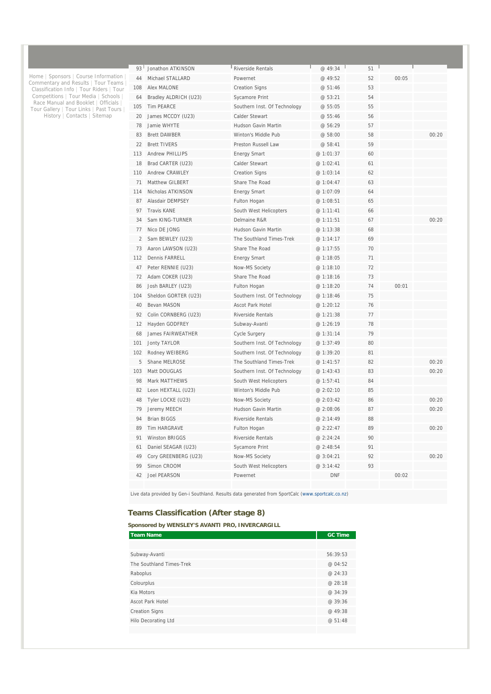| 93  | Jonathon ATKINSON      | Riverside Rentals            | @ 49:34   | 51 |       |       |
|-----|------------------------|------------------------------|-----------|----|-------|-------|
| 44  | Michael STALLARD       | Powernet                     | @ 49:52   | 52 | 00:05 |       |
| 108 | Alex MALONE            | <b>Creation Signs</b>        | @ 51:46   | 53 |       |       |
| 64  | Bradley ALDRICH (U23)  | Sycamore Print               | @ 53:21   | 54 |       |       |
| 105 | <b>Tim PEARCE</b>      | Southern Inst. Of Technology | @55:05    | 55 |       |       |
| 20  | James MCCOY (U23)      | <b>Calder Stewart</b>        | @ 55:46   | 56 |       |       |
| 78  | Jamie WHYTE            | <b>Hudson Gavin Martin</b>   | @ 56:29   | 57 |       |       |
| 83  | <b>Brett DAWBER</b>    | Winton's Middle Pub          | @ 58:00   | 58 |       | 00:20 |
| 22  | <b>Brett TIVERS</b>    | <b>Preston Russell Law</b>   | @ 58:41   | 59 |       |       |
| 113 | <b>Andrew PHILLIPS</b> | <b>Energy Smart</b>          | @ 1:01:37 | 60 |       |       |
| 18  | Brad CARTER (U23)      | Calder Stewart               | @ 1:02:41 | 61 |       |       |
| 110 | <b>Andrew CRAWLEY</b>  | <b>Creation Signs</b>        | @ 1:03:14 | 62 |       |       |
| 71  | <b>Matthew GILBERT</b> | Share The Road               | @ 1:04:47 | 63 |       |       |
| 114 | Nicholas ATKINSON      | <b>Energy Smart</b>          | @ 1:07:09 | 64 |       |       |
| 87  | Alasdair DEMPSEY       | Fulton Hogan                 | @ 1:08:51 | 65 |       |       |
| 97  | <b>Travis KANE</b>     | South West Helicopters       | @ 1:11:41 | 66 |       |       |
| 34  | Sam KING-TURNER        | Delmaine R&R                 | @ 1:11:51 | 67 |       | 00:20 |
| 77  | Nico DE JONG           | Hudson Gavin Martin          | @ 1:13:38 | 68 |       |       |
| 2   | Sam BEWLEY (U23)       | The Southland Times-Trek     | @ 1:14:17 | 69 |       |       |
| 73  | Aaron LAWSON (U23)     | Share The Road               | @ 1:17:55 | 70 |       |       |
| 112 | Dennis FARRELL         | <b>Energy Smart</b>          | @ 1:18:05 | 71 |       |       |
| 47  | Peter RENNIE (U23)     | Now-MS Society               | @ 1:18:10 | 72 |       |       |
| 72  | Adam COKER (U23)       | Share The Road               | @1:18:16  | 73 |       |       |
| 86  | Josh BARLEY (U23)      | Fulton Hogan                 | @ 1:18:20 | 74 | 00:01 |       |
| 104 | Sheldon GORTER (U23)   | Southern Inst. Of Technology | @ 1:18:46 | 75 |       |       |
| 40  | Bevan MASON            | <b>Ascot Park Hotel</b>      | @ 1:20:12 | 76 |       |       |
| 92  | Colin CORNBERG (U23)   | <b>Riverside Rentals</b>     | @ 1:21:38 | 77 |       |       |
| 12  | Hayden GODFREY         | Subway-Avanti                | @ 1:26:19 | 78 |       |       |
| 68  | James FAIRWEATHER      | Cycle Surgery                | @ 1:31:14 | 79 |       |       |
| 101 | <b>Jonty TAYLOR</b>    | Southern Inst. Of Technology | @ 1:37:49 | 80 |       |       |
| 102 | Rodney WEIBERG         | Southern Inst. Of Technology | @ 1:39:20 | 81 |       |       |
| 5   | Shane MELROSE          | The Southland Times-Trek     | @ 1:41:57 | 82 |       | 00:20 |
| 103 | Matt DOUGLAS           | Southern Inst. Of Technology | @ 1:43:43 | 83 |       | 00:20 |
| 98  | <b>Mark MATTHEWS</b>   | South West Helicopters       | @ 1:57:41 | 84 |       |       |
| 82  | Leon HEXTALL (U23)     | Winton's Middle Pub          | @2:02:10  | 85 |       |       |
| 48  | Tyler LOCKE (U23)      | Now-MS Society               | @ 2:03:42 | 86 |       | 00:20 |
| 79  | Jeremy MEECH           | Hudson Gavin Martin          | @ 2:08:06 | 87 |       | 00:20 |
| 94  | <b>Brian BIGGS</b>     | Riverside Rentals            | @ 2:14:49 | 88 |       |       |
| 89  | Tim HARGRAVE           | Fulton Hogan                 | @ 2:22:47 | 89 |       | 00:20 |
| 91  | Winston BRIGGS         | Riverside Rentals            | @ 2:24:24 | 90 |       |       |
| 61  | Daniel SEAGAR (U23)    | Sycamore Print               | @ 2:48:54 | 91 |       |       |
| 49  | Cory GREENBERG (U23)   | Now-MS Society               | @ 3:04:21 | 92 |       | 00:20 |
| 99  | Simon CROOM            | South West Helicopters       | @ 3:14:42 | 93 |       |       |
| 42  | Joel PEARSON           | Powernet                     | DNF       |    | 00:02 |       |
|     |                        |                              |           |    |       |       |

Live data provided by Gen-i Southland. Results data generated from SportCalc (www.sportcalc.co.nz)

#### **Teams Classification (After stage 8)**

Home | Sponsors | Course Information | Commentary and Results | Tour Teams | Classification Info | Tour Riders | Tour Competitions | Tour Media | Schools | Race Manual and Booklet | Officials | Tour Gallery | Tour Links | Past Tours | History | Contacts | Sitemap

#### **Sponsored by WENSLEY'S AVANTI PRO, INVERCARGILL**

| <b>Team Name</b>         | <b>GC Time</b> |
|--------------------------|----------------|
|                          |                |
| Subway-Avanti            | 56:39:53       |
| The Southland Times-Trek | @ 04:52        |
| Raboplus                 | @ 24:33        |
| Colourplus               | @ 28:18        |
| Kia Motors               | @ 34:39        |
| <b>Ascot Park Hotel</b>  | @ 39:36        |
| <b>Creation Signs</b>    | @ 49:38        |
| Hilo Decorating Ltd      | @ 51:48        |
|                          |                |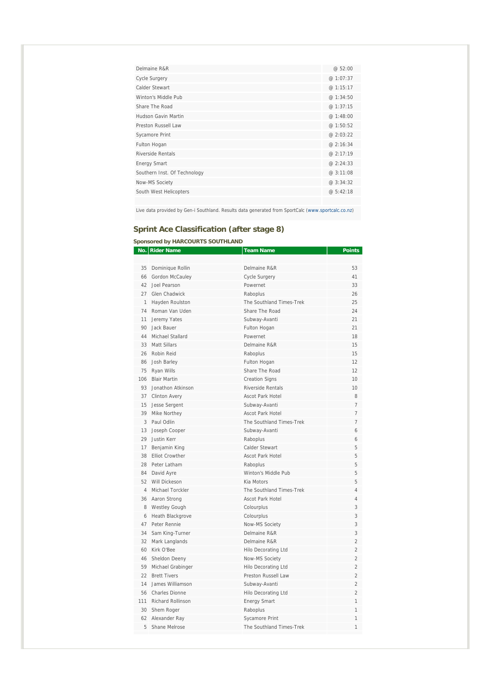| Delmaine R&R                 | @52:00    |
|------------------------------|-----------|
| <b>Cycle Surgery</b>         | @ 1:07:37 |
| Calder Stewart               | @ 1:15:17 |
| Winton's Middle Pub          | @ 1:34:50 |
| Share The Road               | @1:37:15  |
| Hudson Gavin Martin          | @1:48:00  |
| Preston Russell Law          | @1:50:52  |
| <b>Sycamore Print</b>        | @2:03:22  |
| Fulton Hogan                 | @ 2:16:34 |
| Riverside Rentals            | @ 2:17:19 |
| <b>Energy Smart</b>          | @ 2:24:33 |
| Southern Inst. Of Technology | @ 3:11:08 |
| Now-MS Society               | @ 3:34:32 |
| South West Helicopters       | @ 5:42:18 |
|                              |           |

Live data provided by Gen-i Southland. Results data generated from SportCalc (www.sportcalc.co.nz)

# **Sprint Ace Classification (after stage 8)**

#### **Sponsored by HARCOURTS SOUTHLAND**

|              | No.   Rider Name       | Team Name                  | Points                   |
|--------------|------------------------|----------------------------|--------------------------|
|              |                        |                            |                          |
| 35           | Dominique Rollin       | Delmaine R&R               | 53                       |
| 66           | Gordon McCauley        | <b>Cycle Surgery</b>       | 41                       |
|              | 42 Joel Pearson        | Powernet                   | 33                       |
|              | 27 Glen Chadwick       | Raboplus                   | 26                       |
| $\mathbf{1}$ | Hayden Roulston        | The Southland Times-Trek   | 25                       |
| 74           | Roman Van Uden         | Share The Road             | 24                       |
| 11           | Jeremy Yates           | Subway-Avanti              | 21                       |
| 90           | Jack Bauer             | Fulton Hogan               | 21                       |
| 44           | Michael Stallard       | Powernet                   | 18                       |
|              | 33 Matt Sillars        | Delmaine R&R               | 15                       |
| 26           | Robin Reid             | Raboplus                   | 15                       |
| 86           | Josh Barley            | Fulton Hogan               | 12                       |
| 75           | Ryan Wills             | Share The Road             | 12                       |
| 106          | <b>Blair Martin</b>    | <b>Creation Signs</b>      | 10                       |
|              | 93 Jonathon Atkinson   | <b>Riverside Rentals</b>   | 10                       |
|              | 37 Clinton Avery       | <b>Ascot Park Hotel</b>    | 8                        |
| 15           | Jesse Sergent          | Subway-Avanti              | 7                        |
|              | 39 Mike Northey        | Ascot Park Hotel           | 7                        |
|              | 3 Paul Odlin           | The Southland Times-Trek   | $\overline{7}$           |
| 13           | Joseph Cooper          | Subway-Avanti              | 6                        |
| 29           | Justin Kerr            | Raboplus                   | 6                        |
|              | 17 Benjamin King       | Calder Stewart             | 5                        |
| 38           | <b>Elliot Crowther</b> | <b>Ascot Park Hotel</b>    | 5                        |
|              | 28 Peter Latham        | Raboplus                   | 5                        |
|              | 84 David Ayre          | Winton's Middle Pub        | 5                        |
|              | 52 Will Dickeson       | Kia Motors                 | 5                        |
|              | 4 Michael Torckler     | The Southland Times-Trek   | 4                        |
|              | 36 Aaron Strong        | <b>Ascot Park Hotel</b>    | $\overline{4}$           |
| 8            | <b>Westley Gough</b>   | Colourplus                 | 3                        |
| 6            | Heath Blackgrove       | Colourplus                 | 3                        |
|              | 47 Peter Rennie        | Now-MS Society             | 3                        |
| 34           | Sam King-Turner        | Delmaine R&R               | 3                        |
| 32           | Mark Langlands         | Delmaine R&R               | $\overline{\mathcal{L}}$ |
|              | 60 Kirk O'Bee          | Hilo Decorating Ltd        | $\overline{2}$           |
| 46           | Sheldon Deeny          | Now-MS Society             | $\overline{2}$           |
| 59           | Michael Grabinger      | Hilo Decorating Ltd        | $\overline{2}$           |
|              | 22 Brett Tivers        | Preston Russell Law        | $\overline{2}$           |
| 14           | James Williamson       | Subway-Avanti              | $\overline{2}$           |
|              | 56 Charles Dionne      | <b>Hilo Decorating Ltd</b> | $\overline{2}$           |
|              | 111 Richard Rollinson  | <b>Energy Smart</b>        | 1                        |
|              | 30 Shem Roger          | Raboplus                   | 1                        |
|              | 62 Alexander Ray       | <b>Sycamore Print</b>      | $\overline{1}$           |
| 5            | Shane Melrose          | The Southland Times-Trek   | $\overline{1}$           |